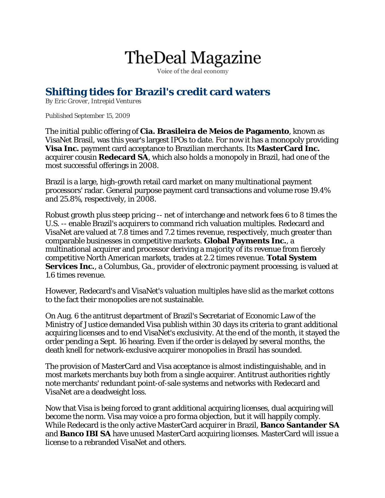## **TheDeal Magazine**

Voice of the deal economy

## **Shifting tides for Brazil's credit card waters**

*By Eric Grover, Intrepid Ventures*

## *Published September 15, 2009*

The initial public offering of **Cia. Brasileira de Meios de Pagamento**, known as VisaNet Brasil, was this year's largest IPOs to date. For now it has a monopoly providing **Visa Inc.** payment card acceptance to Brazilian merchants. Its **MasterCard Inc.**  acquirer cousin **Redecard SA**, which also holds a monopoly in Brazil, had one of the most successful offerings in 2008.

Brazil is a large, high-growth retail card market on many multinational payment processors' radar. General purpose payment card transactions and volume rose 19.4% and 25.8%, respectively, in 2008.

Robust growth plus steep pricing -- net of interchange and network fees 6 to 8 times the U.S. -- enable Brazil's acquirers to command rich valuation multiples. Redecard and VisaNet are valued at 7.8 times and 7.2 times revenue, respectively, much greater than comparable businesses in competitive markets. **Global Payments Inc.**, a multinational acquirer and processor deriving a majority of its revenue from fiercely competitive North American markets, trades at 2.2 times revenue. **Total System Services Inc.**, a Columbus, Ga., provider of electronic payment processing, is valued at 1.6 times revenue.

However, Redecard's and VisaNet's valuation multiples have slid as the market cottons to the fact their monopolies are not sustainable.

On Aug. 6 the antitrust department of Brazil's Secretariat of Economic Law of the Ministry of Justice demanded Visa publish within 30 days its criteria to grant additional acquiring licenses and to end VisaNet's exclusivity. At the end of the month, it stayed the order pending a Sept. 16 hearing. Even if the order is delayed by several months, the death knell for network-exclusive acquirer monopolies in Brazil has sounded.

The provision of MasterCard and Visa acceptance is almost indistinguishable, and in most markets merchants buy both from a single acquirer. Antitrust authorities rightly note merchants' redundant point-of-sale systems and networks with Redecard and VisaNet are a deadweight loss.

Now that Visa is being forced to grant additional acquiring licenses, dual acquiring will become the norm. Visa may voice a pro forma objection, but it will happily comply. While Redecard is the only active MasterCard acquirer in Brazil, **Banco Santander SA** and **Banco IBI SA** have unused MasterCard acquiring licenses. MasterCard will issue a license to a rebranded VisaNet and others.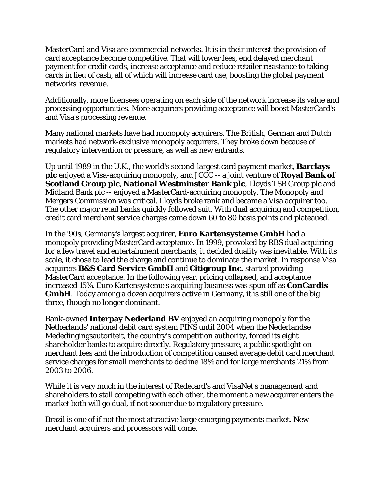MasterCard and Visa are commercial networks. It is in their interest the provision of card acceptance become competitive. That will lower fees, end delayed merchant payment for credit cards, increase acceptance and reduce retailer resistance to taking cards in lieu of cash, all of which will increase card use, boosting the global payment networks' revenue.

Additionally, more licensees operating on each side of the network increase its value and processing opportunities. More acquirers providing acceptance will boost MasterCard's and Visa's processing revenue.

Many national markets have had monopoly acquirers. The British, German and Dutch markets had network-exclusive monopoly acquirers. They broke down because of regulatory intervention or pressure, as well as new entrants.

Up until 1989 in the U.K., the world's second-largest card payment market, **Barclays plc** enjoyed a Visa-acquiring monopoly, and JCCC -- a joint venture of **Royal Bank of Scotland Group plc**, **National Westminster Bank plc**, Lloyds TSB Group plc and Midland Bank plc -- enjoyed a MasterCard-acquiring monopoly. The Monopoly and Mergers Commission was critical. Lloyds broke rank and became a Visa acquirer too. The other major retail banks quickly followed suit. With dual acquiring and competition, credit card merchant service charges came down 60 to 80 basis points and plateaued.

In the '90s, Germany's largest acquirer, **Euro Kartensysteme GmbH** had a monopoly providing MasterCard acceptance. In 1999, provoked by RBS dual acquiring for a few travel and entertainment merchants, it decided duality was inevitable. With its scale, it chose to lead the charge and continue to dominate the market. In response Visa acquirers **B&S Card Service GmbH** and **Citigroup Inc.** started providing MasterCard acceptance. In the following year, pricing collapsed, and acceptance increased 15%. Euro Kartensysteme's acquiring business was spun off as **ConCardis GmbH**. Today among a dozen acquirers active in Germany, it is still one of the big three, though no longer dominant.

Bank-owned **Interpay Nederland BV** enjoyed an acquiring monopoly for the Netherlands' national debit card system PINS until 2004 when the Nederlandse Mededingingsautoriteit, the country's competition authority, forced its eight shareholder banks to acquire directly. Regulatory pressure, a public spotlight on merchant fees and the introduction of competition caused average debit card merchant service charges for small merchants to decline 18% and for large merchants 21% from 2003 to 2006.

While it is very much in the interest of Redecard's and VisaNet's management and shareholders to stall competing with each other, the moment a new acquirer enters the market both will go dual, if not sooner due to regulatory pressure.

Brazil is one of if not the most attractive large emerging payments market. New merchant acquirers and processors will come.